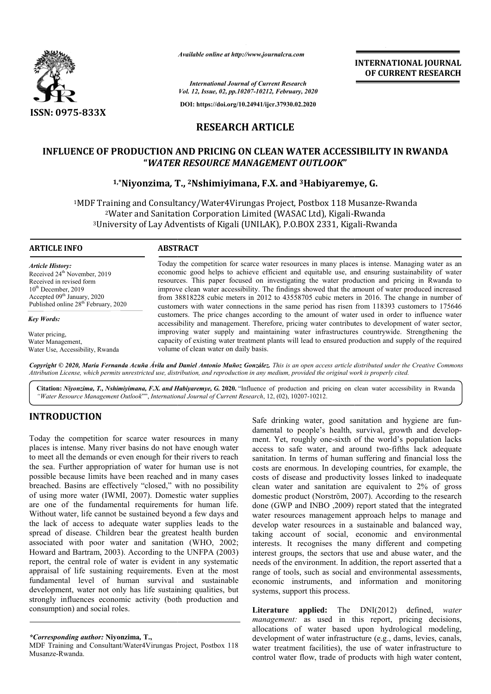

*Available online at http://www.journalcra.com*

**INTERNATIONAL JOURNAL OF CURRENT RESEARCH**

*International Journal of Current Research Vol. 12, Issue, 02, pp.10207-10212, February, 2020*

**DOI: https://doi.org/10.24941/ijcr.37930.02.2020**

# **RESEARCH ARTICLE**

# **INFLUENCE OF PRODUCTION AND PRICING ON CLEAN WATER ACCESSIBILITY IN RWANDA "***WATER RESOURCE MANAGEMENT OUTLOOK* **"** PRODUCTION AND PRICING ON CLEAN WATER ACCESSIBILITY<br>WA*TER RESOURCE MANAGEMENT OUTLOOK*"<br><sup>1,\*</sup>Niyonzima, T., <sup>2</sup>Nshimiyimana, F.X. and <sup>3</sup>Habiyaremye, G.

1MDF Training and Consultancy/Water4Virungas Project, Postbox 118 Musanze-Rwanda <sup>2</sup>Water and Sanitation Corporation Limited (WASAC Ltd), Kigali-Rwanda <sup>2</sup>Water and Sanitation Corporation Limited (WASAC Ltd), Kigali-Rwanda<br>University of Lay Adventists of Kigali (UNILAK), P.O.BOX 2331, Kigali-Rwanda

### **ARTICLE INFO ABSTRACT**

*Article History:* Received 24<sup>th</sup> November, 2019 Received in revised form  $10<sup>th</sup>$  December, 2019 Accepted 09<sup>th</sup> January, 2020 Published online 28<sup>th</sup> February, 2020

*Key Words:*

Water pricing, Water Management, Water Use, Accessibility, Rwanda

Today the competition for scarce water resources in many places is intense. Managing water as an economic good helps to achieve efficient and equitable use, and ensuring sustainability of water resources. This paper focused on investigating the water production and pricing in Rwanda to improve clean water accessibility. The findings showed that the amount of water produced increased from 38818228 cubic meters in 2012 to 43558705 cubic meters in 2016. The change in number of customers with water connections in the same period has risen from 118393 customers to 175646 customers. The price changes according to the amount of water used in order to accessibility and management. Therefore, pricing water contributes to development of water sector, accessibility and management. Therefore, pricing water contributes to development of water sector, improving water supply and maintaining water infrastructures countrywide. Strengthening the capacity of existing water treatment plants will lead to ensured production and supply of the required volume of clean water on daily basis. economic good helps to achieve efficient and equitable use, and ensuring sustainability of water resources. This paper focused on investigating the water production and pricing in Rwanda to improve clean water accessibilit

Copyright © 2020, María Fernanda Acuña Ávila and Daniel Antonio Muñoz González. This is an open access article distributed under the Creative Commons Attribution License, which permits unrestricted use, distribution, and reproduction in any medium, provided the original work is properly cited.

Citation: Niyonzima, T., Nshimiyimana, F.X. and Habiyaremye, G. 2020. "Influence of production and pricing on clean water accessibility in Rwanda *"Water Resource Management Outlook*"", *International Journal of Current Research*, 12, (02), 10207-10212.

# **INTRODUCTION**

Today the competition for scarce water resources in many places is intense. Many river basins do not have enough water to meet all the demands or even enough for their rivers to reach the sea. Further appropriation of water for human use is not possible because limits have been reached and in many cases breached. Basins are effectively "closed," with no possibility of using more water (IWMI, 2007). Domestic water supplies are one of the fundamental requirements for human life. Without water, life cannot be sustained beyond a few days and the lack of access to adequate water supplies leads to the spread of disease. Children bear the greatest health burden associated with poor water and sanitation (WHO, 2002; Howard and Bartram, 2003). According to the UNFPA (2003) report, the central role of water is evident in any systematic appraisal of life sustaining requirements. Even at the most fundamental level of human survival and sustainable development, water not only has life sustaining qualities, bu strongly influences economic activity (both production and consumption) and social roles. ife cannot be sustained beyond a few days and<br>ess to adequate water supplies leads to the<br>se. Children bear the greatest health burden<br>poor water and sanitation (WHO, 2002;<br>tram, 2003). According to the UNFPA (2003)<br>al rol

Safe drinking water, good sanitation and hygiene are fundamental to people's health, survival, growth and development. Yet, roughly one-sixth of the world's population lacks ment. Yet, roughly one-sixth of the world's population lacks access to safe water, and around two-fifths lack adequate sanitation. In terms of human suffering and financial loss the costs are enormous. In developing countries, for example, the costs are enormous. In developing countries, for example, the costs of disease and productivity losses linked to inadequate clean water and sanitation are equivalent to 2% of gross domestic product (Norström, 2007). According to the research done (GWP and INBO ,2009) report stated that the integrated water resources management approach helps to manage and develop water resources in a sustainable and balanced way, taking account of social, economic and environmental interests. It recognises the many different and competing interest groups, the sectors that use and abuse water, and the needs of the environment. In addition, the report asserted that a range of tools, such as social and environmental assessments, interest groups, the sectors that use and abuse water, and the needs of the environment. In addition, the report asserted that a range of tools, such as social and environmental assessments, economic instruments, and infor systems, support this process. INBO ,2009) report stated that the integrated<br>management approach helps to manage and<br>sources in a sustainable and balanced way,<br>of social, economic and environmental<br>ognises the many different and competing INTERNATIONAL JOURNAL<br>
OF CURRENT RESEARCH<br>
OF CURRENT RESEARCH<br>
CONDINERT AND AND A<br>
CONDINERT AND AND A<br>
CONDINERT AND AND A<br>
CONDINERT AND AND A<br>
FORMIC TO AND MUSCULP TO THE AND A REVENT AND A REVENT PROMOTOR and A Kig

**Literature applied:** The DNI(2012) defined, *water management:* as used in this report, pricing decisions, allocations of water based upon hydrological modeling, allocations of water based upon hydrological modeling, development of water infrastructure (e.g., dams, levies, canals, water treatment facilities), the use of water infrastructure to control water flow, trade of products with high water content,

*<sup>\*</sup>Corresponding author:* **Niyonzima***,* **T.,**

MDF Training and Consultant/Water4Virungas Project, Postbox 118 Musanze-Rwanda.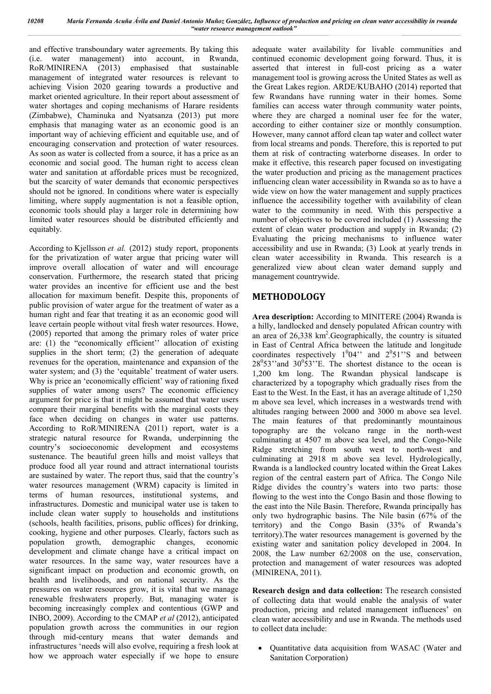and effective transboundary water agreements. By taking this (i.e. water management) into account, in Rwanda, RoR/MINIRENA (2013) emphasised that sustainable management of integrated water resources is relevant to achieving Vision 2020 gearing towards a productive and market oriented agriculture. In their report about assessment of water shortages and coping mechanisms of Harare residents (Zimbabwe), Chaminuka and Nyatsanza (2013) put more emphasis that managing water as an economic good is an important way of achieving efficient and equitable use, and of encouraging conservation and protection of water resources. As soon as water is collected from a source, it has a price as an economic and social good. The human right to access clean water and sanitation at affordable prices must be recognized, but the scarcity of water demands that economic perspectives should not be ignored. In conditions where water is especially limiting, where supply augmentation is not a feasible option, economic tools should play a larger role in determining how limited water resources should be distributed efficiently and equitably.

According to Kjellsson *et al.* (2012) study report, proponents for the privatization of water argue that pricing water will improve overall allocation of water and will encourage conservation. Furthermore, the research stated that pricing water provides an incentive for efficient use and the best allocation for maximum benefit. Despite this, proponents of public provision of water argue for the treatment of water as a human right and fear that treating it as an economic good will leave certain people without vital fresh water resources. Howe, (2005) reported that among the primary roles of water price are: (1) the "economically efficient'' allocation of existing supplies in the short term; (2) the generation of adequate revenues for the operation, maintenance and expansion of the water system; and (3) the 'equitable' treatment of water users. Why is price an 'economically efficient' way of rationing fixed supplies of water among users? The economic efficiency argument for price is that it might be assumed that water users compare their marginal benefits with the marginal costs they face when deciding on changes in water use patterns. According to RoR/MINIRENA (2011) report, water is a strategic natural resource for Rwanda, underpinning the country's socioeconomic development and ecosystems sustenance. The beautiful green hills and moist valleys that produce food all year round and attract international tourists are sustained by water. The report thus, said that the country's water resources management (WRM) capacity is limited in terms of human resources, institutional systems, and infrastructures. Domestic and municipal water use is taken to include clean water supply to households and institutions (schools, health facilities, prisons, public offices) for drinking, cooking, hygiene and other purposes. Clearly, factors such as population growth, demographic changes, economic development and climate change have a critical impact on water resources. In the same way, water resources have a significant impact on production and economic growth, on health and livelihoods, and on national security. As the pressures on water resources grow, it is vital that we manage renewable freshwaters properly. But, managing water is becoming increasingly complex and contentious (GWP and INBO, 2009). According to the CMAP *et al* (2012), anticipated population growth across the communities in our region through mid-century means that water demands and infrastructures 'needs will also evolve, requiring a fresh look at how we approach water especially if we hope to ensure adequate water availability for livable communities and continued economic development going forward. Thus, it is asserted that interest in full-cost pricing as a water management tool is growing across the United States as well as the Great Lakes region. ARDE/KUBAHO (2014) reported that few Rwandans have running water in their homes. Some families can access water through community water points, where they are charged a nominal user fee for the water, according to either container size or monthly consumption. However, many cannot afford clean tap water and collect water from local streams and ponds. Therefore, this is reported to put them at risk of contracting waterborne diseases. In order to make it effective, this research paper focused on investigating the water production and pricing as the management practices influencing clean water accessibility in Rwanda so as to have a wide view on how the water management and supply practices influence the accessibility together with availability of clean water to the community in need. With this perspective a number of objectives to be covered included (1) Assessing the extent of clean water production and supply in Rwanda; (2) Evaluating the pricing mechanisms to influence water accessibility and use in Rwanda; (3) Look at yearly trends in clean water accessibility in Rwanda. This research is a generalized view about clean water demand supply and management countrywide.

# **METHODOLOGY**

**Area description:** According to MINITERE (2004) Rwanda is a hilly, landlocked and densely populated African country with an area of 26,338 km<sup>2</sup>. Geographically, the country is situated in East of Central Africa between the latitude and longitude coordinates respectively  $1^004$ " and  $2^051$ "S and between  $28^0$ 53" and  $30^0$ 53" E. The shortest distance to the ocean is 1,200 km long. The Rwandan physical landscape is characterized by a topography which gradually rises from the East to the West. In the East, it has an average altitude of 1,250 m above sea level, which increases in a westwards trend with altitudes ranging between 2000 and 3000 m above sea level. The main features of that predominantly mountainous topography are the volcano range in the north-west culminating at 4507 m above sea level, and the Congo-Nile Ridge stretching from south west to north-west and culminating at 2918 m above sea level. Hydrologically, Rwanda is a landlocked country located within the Great Lakes region of the central eastern part of Africa. The Congo Nile Ridge divides the country's waters into two parts: those flowing to the west into the Congo Basin and those flowing to the east into the Nile Basin. Therefore, Rwanda principally has only two hydrographic basins. The Nile basin (67% of the territory) and the Congo Basin (33% of Rwanda's territory).The water resources management is governed by the existing water and sanitation policy developed in 2004. In 2008, the Law number 62/2008 on the use, conservation, protection and management of water resources was adopted (MINIRENA, 2011).

**Research design and data collection:** The research consisted of collecting data that would enable the analysis of water production, pricing and related management influences' on clean water accessibility and use in Rwanda. The methods used to collect data include:

 Quantitative data acquisition from WASAC (Water and Sanitation Corporation)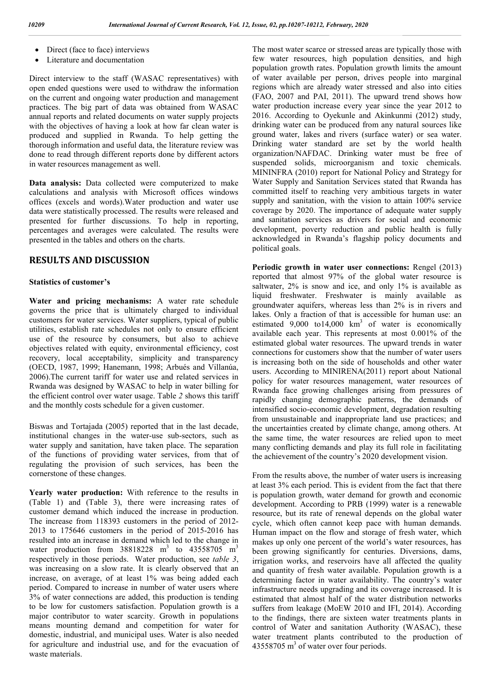- Direct (face to face) interviews
- Literature and documentation

Direct interview to the staff (WASAC representatives) with open ended questions were used to withdraw the information on the current and ongoing water production and management practices. The big part of data was obtained from WASAC annual reports and related documents on water supply projects with the objectives of having a look at how far clean water is produced and supplied in Rwanda. To help getting the thorough information and useful data, the literature review was done to read through different reports done by different actors in water resources management as well.

**Data analysis:** Data collected were computerized to make calculations and analysis with Microsoft offices windows offices (excels and words).Water production and water use data were statistically processed. The results were released and presented for further discussions. To help in reporting, percentages and averages were calculated. The results were presented in the tables and others on the charts.

## **RESULTS AND DISCUSSION**

#### **Statistics of customer's**

**Water and pricing mechanisms:** A water rate schedule governs the price that is ultimately charged to individual customers for water services. Water suppliers, typical of public utilities, establish rate schedules not only to ensure efficient use of the resource by consumers, but also to achieve objectives related with equity, environmental efficiency, cost recovery, local acceptability, simplicity and transparency (OECD, 1987, 1999; Hanemann, 1998; Arbués and Villanúa, 2006).The current tariff for water use and related services in Rwanda was designed by WASAC to help in water billing for the efficient control over water usage. Table *2* shows this tariff and the monthly costs schedule for a given customer.

Biswas and Tortajada (2005) reported that in the last decade, institutional changes in the water-use sub-sectors, such as water supply and sanitation, have taken place. The separation of the functions of providing water services, from that of regulating the provision of such services, has been the cornerstone of these changes.

**Yearly water production:** With reference to the results in (Table 1) and (Table 3), there were increasing rates of customer demand which induced the increase in production. The increase from 118393 customers in the period of 2012- 2013 to 175646 customers in the period of 2015-2016 has resulted into an increase in demand which led to the change in water production from  $38818228$  m<sup>3</sup> to  $43558705$  m<sup>3</sup> respectively in those periods. Water production, see *table 3*, was increasing on a slow rate. It is clearly observed that an increase, on average, of at least 1% was being added each period. Compared to increase in number of water users where 3% of water connections are added, this production is tending to be low for customers satisfaction. Population growth is a major contributor to water scarcity. Growth in populations means mounting demand and competition for water for domestic, industrial, and municipal uses. Water is also needed for agriculture and industrial use, and for the evacuation of waste materials.

The most water scarce or stressed areas are typically those with few water resources, high population densities, and high population growth rates. Population growth limits the amount of water available per person, drives people into marginal regions which are already water stressed and also into cities (FAO, 2007 and PAI, 2011). The upward trend shows how water production increase every year since the year 2012 to 2016. According to Oyekunle and Akinkunmi (2012) study, drinking water can be produced from any natural sources like ground water, lakes and rivers (surface water) or sea water. Drinking water standard are set by the world health organization/NAFDAC. Drinking water must be free of suspended solids, microorganism and toxic chemicals. MININFRA (2010) report for National Policy and Strategy for Water Supply and Sanitation Services stated that Rwanda has committed itself to reaching very ambitious targets in water supply and sanitation, with the vision to attain 100% service coverage by 2020. The importance of adequate water supply and sanitation services as drivers for social and economic development, poverty reduction and public health is fully acknowledged in Rwanda's flagship policy documents and political goals.

**Periodic growth in water user connections:** Rengel (2013) reported that almost 97% of the global water resource is saltwater, 2% is snow and ice, and only 1% is available as liquid freshwater. Freshwater is mainly available as groundwater aquifers, whereas less than 2% is in rivers and lakes. Only a fraction of that is accessible for human use: an estimated  $9,000$  to 14,000 km<sup>3</sup> of water is economically available each year. This represents at most 0.001% of the estimated global water resources. The upward trends in water connections for customers show that the number of water users is increasing both on the side of households and other water users. According to MINIRENA(2011) report about National policy for water resources management, water resources of Rwanda face growing challenges arising from pressures of rapidly changing demographic patterns, the demands of intensified socio-economic development, degradation resulting from unsustainable and inappropriate land use practices; and the uncertainties created by climate change, among others. At the same time, the water resources are relied upon to meet many conflicting demands and play its full role in facilitating the achievement of the country's 2020 development vision.

From the results above, the number of water users is increasing at least 3% each period. This is evident from the fact that there is population growth, water demand for growth and economic development. According to PRB (1999) water is a renewable resource, but its rate of renewal depends on the global water cycle, which often cannot keep pace with human demands. Human impact on the flow and storage of fresh water, which makes up only one percent of the world's water resources, has been growing significantly for centuries. Diversions, dams, irrigation works, and reservoirs have all affected the quality and quantity of fresh water available. Population growth is a determining factor in water availability. The country's water infrastructure needs upgrading and its coverage increased. It is estimated that almost half of the water distribution networks suffers from leakage (MoEW 2010 and IFI, 2014). According to the findings, there are sixteen water treatments plants in control of Water and sanitation Authority (WASAC), these water treatment plants contributed to the production of 43558705 m<sup>3</sup> of water over four periods.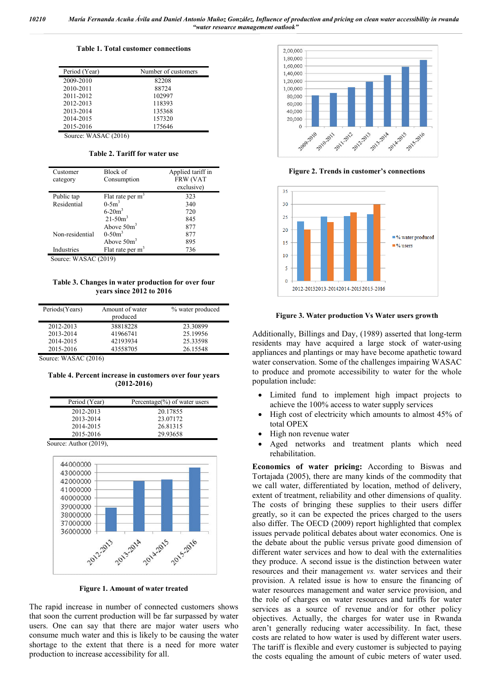#### **Table 1. Total customer connections**

| Period (Year) | Number of customers |
|---------------|---------------------|
| 2009-2010     | 82208               |
| 2010-2011     | 88724               |
| 2011-2012     | 102997              |
| 2012-2013     | 118393              |
| 2013-2014     | 135368              |
| 2014-2015     | 157320              |
| 2015-2016     | 175646              |

Source: WASAC (2016)

**Table 2. Tariff for water use**

| Customer<br>category | Block of<br>Consumption | Applied tariff in<br><b>FRW (VAT</b><br>exclusive) |
|----------------------|-------------------------|----------------------------------------------------|
| Public tap           | Flat rate per $m3$      | 323                                                |
| Residential          | $0 - 5m^3$              | 340                                                |
|                      | $6 - 20m^3$             | 720                                                |
|                      | $21 - 50m^3$            | 845                                                |
|                      | Above $50m^3$           | 877                                                |
| Non-residential      | $0-50m^3$               | 877                                                |
|                      | Above $50m^3$           | 895                                                |
| Industries           | Flat rate per $m^3$     | 736                                                |

Source: WASAC (2019)

**Table 3. Changes in water production for over four years since 2012 to 2016**

| Periods(Years) | Amount of water | % water produced |
|----------------|-----------------|------------------|
|                | produced        |                  |
| 2012-2013      | 38818228        | 23.30899         |
| 2013-2014      | 41966741        | 25.19956         |
| 2014-2015      | 42193934        | 25.33598         |
| 2015-2016      | 43558705        | 26.15548         |
|                |                 |                  |

Source: WASAC (2016)

**Table 4. Percent increase in customers over four years (2012-2016)**

| Period (Year)        | Percentage $(\%)$ of water users |
|----------------------|----------------------------------|
| 2012-2013            | 20.17855                         |
| 2013-2014            | 23.07172                         |
| 2014-2015            | 26.81315                         |
| 2015-2016            | 29.93658                         |
| $\cdot$ 1<br>(0.010) |                                  |

Source: Author (2019), 44000000 43000000 42000000 41000000 40000000 39000000 38000000 37000000 36000000 2015-2016 2013-2014 2014-2015

**Figure 1. Amount of water treated**

The rapid increase in number of connected customers shows that soon the current production will be far surpassed by water users. One can say that there are major water users who consume much water and this is likely to be causing the water shortage to the extent that there is a need for more water production to increase accessibility for all.



**Figure 2. Trends in customer's connections**



**Figure 3. Water production Vs Water users growth**

Additionally, Billings and Day, (1989) asserted that long-term residents may have acquired a large stock of water-using appliances and plantings or may have become apathetic toward water conservation. Some of the challenges impairing WASAC to produce and promote accessibility to water for the whole population include:

- Limited fund to implement high impact projects to achieve the 100% access to water supply services
- High cost of electricity which amounts to almost 45% of total OPEX
- High non revenue water
- Aged networks and treatment plants which need rehabilitation.

**Economics of water pricing:** According to Biswas and Tortajada (2005), there are many kinds of the commodity that we call water, differentiated by location, method of delivery, extent of treatment, reliability and other dimensions of quality. The costs of bringing these supplies to their users differ greatly, so it can be expected the prices charged to the users also differ. The OECD (2009) report highlighted that complex issues pervade political debates about water economics. One is the debate about the public versus private good dimension of different water services and how to deal with the externalities they produce. A second issue is the distinction between water resources and their management *vs.* water services and their provision. A related issue is how to ensure the financing of water resources management and water service provision, and the role of charges on water resources and tariffs for water services as a source of revenue and/or for other policy objectives. Actually, the charges for water use in Rwanda aren't generally reducing water accessibility. In fact, these costs are related to how water is used by different water users. The tariff is flexible and every customer is subjected to paying the costs equaling the amount of cubic meters of water used.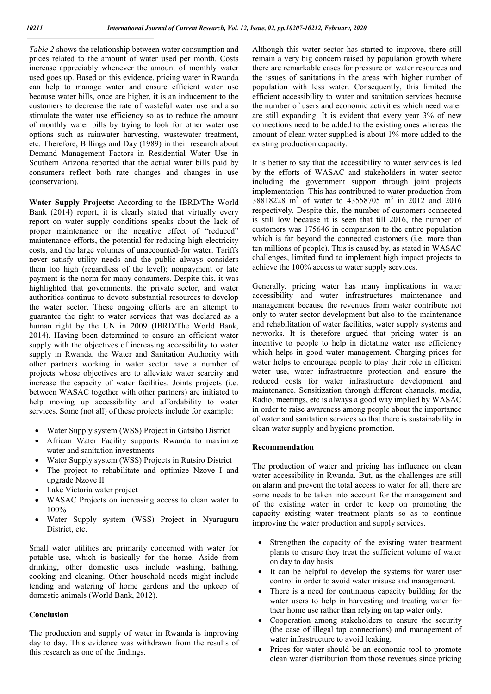*Table 2* shows the relationship between water consumption and prices related to the amount of water used per month. Costs increase appreciably whenever the amount of monthly water used goes up. Based on this evidence, pricing water in Rwanda can help to manage water and ensure efficient water use because water bills, once are higher, it is an inducement to the customers to decrease the rate of wasteful water use and also stimulate the water use efficiency so as to reduce the amount of monthly water bills by trying to look for other water use options such as rainwater harvesting, wastewater treatment, etc. Therefore, Billings and Day (1989) in their research about Demand Management Factors in Residential Water Use in Southern Arizona reported that the actual water bills paid by consumers reflect both rate changes and changes in use (conservation).

**Water Supply Projects:** According to the IBRD/The World Bank (2014) report, it is clearly stated that virtually every report on water supply conditions speaks about the lack of proper maintenance or the negative effect of "reduced" maintenance efforts, the potential for reducing high electricity costs, and the large volumes of unaccounted-for water. Tariffs never satisfy utility needs and the public always considers them too high (regardless of the level); nonpayment or late payment is the norm for many consumers. Despite this, it was highlighted that governments, the private sector, and water authorities continue to devote substantial resources to develop the water sector. These ongoing efforts are an attempt to guarantee the right to water services that was declared as a human right by the UN in 2009 (IBRD/The World Bank, 2014). Having been determined to ensure an efficient water supply with the objectives of increasing accessibility to water supply in Rwanda, the Water and Sanitation Authority with other partners working in water sector have a number of projects whose objectives are to alleviate water scarcity and increase the capacity of water facilities. Joints projects (i.e. between WASAC together with other partners) are initiated to help moving up accessibility and affordability to water services. Some (not all) of these projects include for example:

- Water Supply system (WSS) Project in Gatsibo District
- African Water Facility supports Rwanda to maximize water and sanitation investments
- Water Supply system (WSS) Projects in Rutsiro District
- The project to rehabilitate and optimize Nzove I and upgrade Nzove II
- Lake Victoria water project
- WASAC Projects on increasing access to clean water to 100%
- Water Supply system (WSS) Project in Nyaruguru District, etc.

Small water utilities are primarily concerned with water for potable use, which is basically for the home. Aside from drinking, other domestic uses include washing, bathing, cooking and cleaning. Other household needs might include tending and watering of home gardens and the upkeep of domestic animals (World Bank, 2012).

#### **Conclusion**

The production and supply of water in Rwanda is improving day to day. This evidence was withdrawn from the results of this research as one of the findings.

Although this water sector has started to improve, there still remain a very big concern raised by population growth where there are remarkable cases for pressure on water resources and the issues of sanitations in the areas with higher number of population with less water. Consequently, this limited the efficient accessibility to water and sanitation services because the number of users and economic activities which need water are still expanding. It is evident that every year 3% of new connections need to be added to the existing ones whereas the amount of clean water supplied is about 1% more added to the existing production capacity.

It is better to say that the accessibility to water services is led by the efforts of WASAC and stakeholders in water sector including the government support through joint projects implementation. This has contributed to water production from 38818228 m3 of water to 43558705 m3 in 2012 and 2016 respectively. Despite this, the number of customers connected is still low because it is seen that till 2016, the number of customers was 175646 in comparison to the entire population which is far beyond the connected customers (i.e. more than ten millions of people). This is caused by, as stated in WASAC challenges, limited fund to implement high impact projects to achieve the 100% access to water supply services.

Generally, pricing water has many implications in water accessibility and water infrastructures maintenance and management because the revenues from water contribute not only to water sector development but also to the maintenance and rehabilitation of water facilities, water supply systems and networks. It is therefore argued that pricing water is an incentive to people to help in dictating water use efficiency which helps in good water management. Charging prices for water helps to encourage people to play their role in efficient water use, water infrastructure protection and ensure the reduced costs for water infrastructure development and maintenance. Sensitization through different channels, media, Radio, meetings, etc is always a good way implied by WASAC in order to raise awareness among people about the importance of water and sanitation services so that there is sustainability in clean water supply and hygiene promotion.

### **Recommendation**

The production of water and pricing has influence on clean water accessibility in Rwanda. But, as the challenges are still on alarm and prevent the total access to water for all, there are some needs to be taken into account for the management and of the existing water in order to keep on promoting the capacity existing water treatment plants so as to continue improving the water production and supply services.

- Strengthen the capacity of the existing water treatment plants to ensure they treat the sufficient volume of water on day to day basis
- It can be helpful to develop the systems for water user control in order to avoid water misuse and management.
- There is a need for continuous capacity building for the water users to help in harvesting and treating water for their home use rather than relying on tap water only.
- Cooperation among stakeholders to ensure the security (the case of illegal tap connections) and management of water infrastructure to avoid leaking.
- Prices for water should be an economic tool to promote clean water distribution from those revenues since pricing